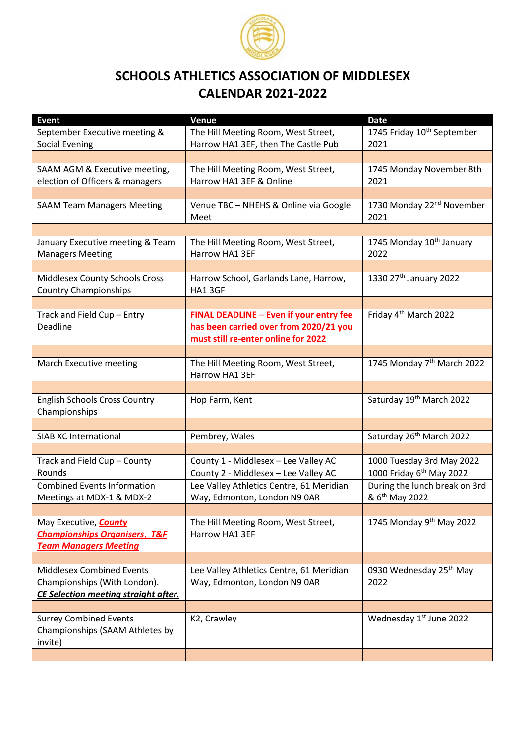

## **SCHOOLS ATHLETICS ASSOCIATION OF MIDDLESEX CALENDAR 2021-2022**

| <b>Event</b>                                | Venue                                    | <b>Date</b>                            |
|---------------------------------------------|------------------------------------------|----------------------------------------|
| September Executive meeting &               | The Hill Meeting Room, West Street,      | 1745 Friday 10 <sup>th</sup> September |
| <b>Social Evening</b>                       | Harrow HA1 3EF, then The Castle Pub      | 2021                                   |
|                                             |                                          |                                        |
| SAAM AGM & Executive meeting,               | The Hill Meeting Room, West Street,      | 1745 Monday November 8th               |
| election of Officers & managers             | Harrow HA1 3EF & Online                  | 2021                                   |
|                                             |                                          |                                        |
| <b>SAAM Team Managers Meeting</b>           | Venue TBC - NHEHS & Online via Google    | 1730 Monday 22 <sup>nd</sup> November  |
|                                             | Meet                                     | 2021                                   |
|                                             |                                          |                                        |
| January Executive meeting & Team            | The Hill Meeting Room, West Street,      | 1745 Monday 10 <sup>th</sup> January   |
| <b>Managers Meeting</b>                     | Harrow HA1 3EF                           | 2022                                   |
|                                             |                                          |                                        |
| Middlesex County Schools Cross              | Harrow School, Garlands Lane, Harrow,    | 1330 27th January 2022                 |
| <b>Country Championships</b>                | HA1 3GF                                  |                                        |
|                                             |                                          |                                        |
|                                             | FINAL DEADLINE - Even if your entry fee  | Friday 4 <sup>th</sup> March 2022      |
| Track and Field Cup - Entry<br>Deadline     | has been carried over from 2020/21 you   |                                        |
|                                             |                                          |                                        |
|                                             | must still re-enter online for 2022      |                                        |
|                                             |                                          |                                        |
| March Executive meeting                     | The Hill Meeting Room, West Street,      | 1745 Monday 7 <sup>th</sup> March 2022 |
|                                             | Harrow HA1 3EF                           |                                        |
|                                             |                                          |                                        |
| <b>English Schools Cross Country</b>        | Hop Farm, Kent                           | Saturday 19 <sup>th</sup> March 2022   |
| Championships                               |                                          |                                        |
|                                             |                                          |                                        |
| <b>SIAB XC International</b>                | Pembrey, Wales                           | Saturday 26 <sup>th</sup> March 2022   |
|                                             |                                          |                                        |
| Track and Field Cup - County                | County 1 - Middlesex - Lee Valley AC     | 1000 Tuesday 3rd May 2022              |
| Rounds                                      | County 2 - Middlesex - Lee Valley AC     | 1000 Friday 6 <sup>th</sup> May 2022   |
| <b>Combined Events Information</b>          | Lee Valley Athletics Centre, 61 Meridian | During the lunch break on 3rd          |
| Meetings at MDX-1 & MDX-2                   | Way, Edmonton, London N9 0AR             | & 6 <sup>th</sup> May 2022             |
|                                             |                                          |                                        |
| May Executive, <b>County</b>                | The Hill Meeting Room, West Street,      | 1745 Monday 9th May 2022               |
| <b>Championships Organisers, T&amp;F</b>    | Harrow HA1 3EF                           |                                        |
| <b>Team Managers Meeting</b>                |                                          |                                        |
|                                             |                                          |                                        |
| <b>Middlesex Combined Events</b>            | Lee Valley Athletics Centre, 61 Meridian | 0930 Wednesday 25 <sup>th</sup> May    |
| Championships (With London).                | Way, Edmonton, London N9 0AR             | 2022                                   |
| <b>CE Selection meeting straight after.</b> |                                          |                                        |
|                                             |                                          |                                        |
| <b>Surrey Combined Events</b>               | K2, Crawley                              | Wednesday 1st June 2022                |
| Championships (SAAM Athletes by             |                                          |                                        |
| invite)                                     |                                          |                                        |
|                                             |                                          |                                        |
|                                             |                                          |                                        |